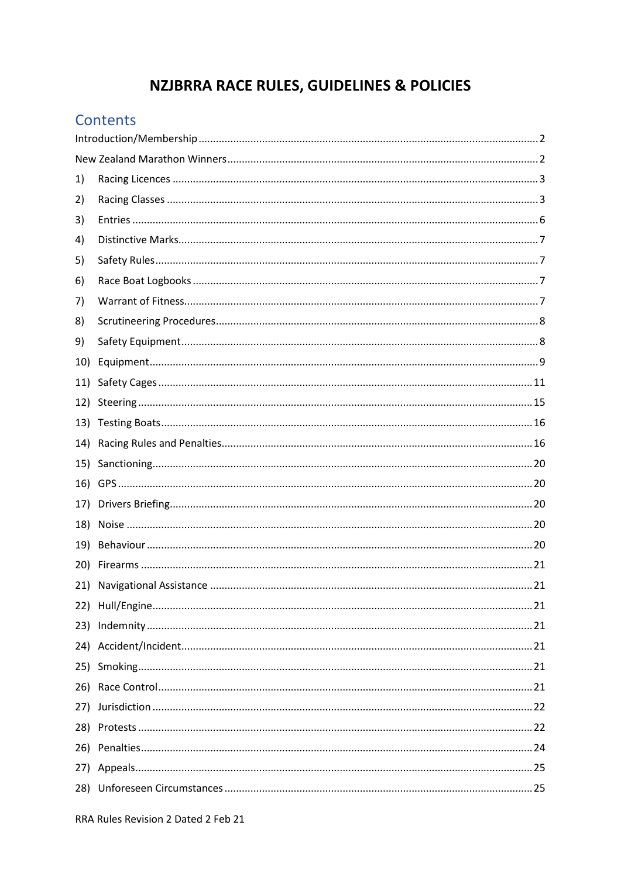# **NZJBRRA RACE RULES, GUIDELINES & POLICIES**

### Contents

| 1)  |  |  |  |  |
|-----|--|--|--|--|
| 2)  |  |  |  |  |
| 3)  |  |  |  |  |
| 4)  |  |  |  |  |
| 5)  |  |  |  |  |
| 6)  |  |  |  |  |
| 7)  |  |  |  |  |
| 8)  |  |  |  |  |
| 9)  |  |  |  |  |
| 10) |  |  |  |  |
| 11) |  |  |  |  |
| 12) |  |  |  |  |
| 13) |  |  |  |  |
| 14) |  |  |  |  |
| 15) |  |  |  |  |
| 16) |  |  |  |  |
| 17) |  |  |  |  |
| 18) |  |  |  |  |
| 19) |  |  |  |  |
| 20) |  |  |  |  |
| 21) |  |  |  |  |
|     |  |  |  |  |
|     |  |  |  |  |
|     |  |  |  |  |
|     |  |  |  |  |
|     |  |  |  |  |
| 27) |  |  |  |  |
|     |  |  |  |  |
|     |  |  |  |  |
|     |  |  |  |  |
|     |  |  |  |  |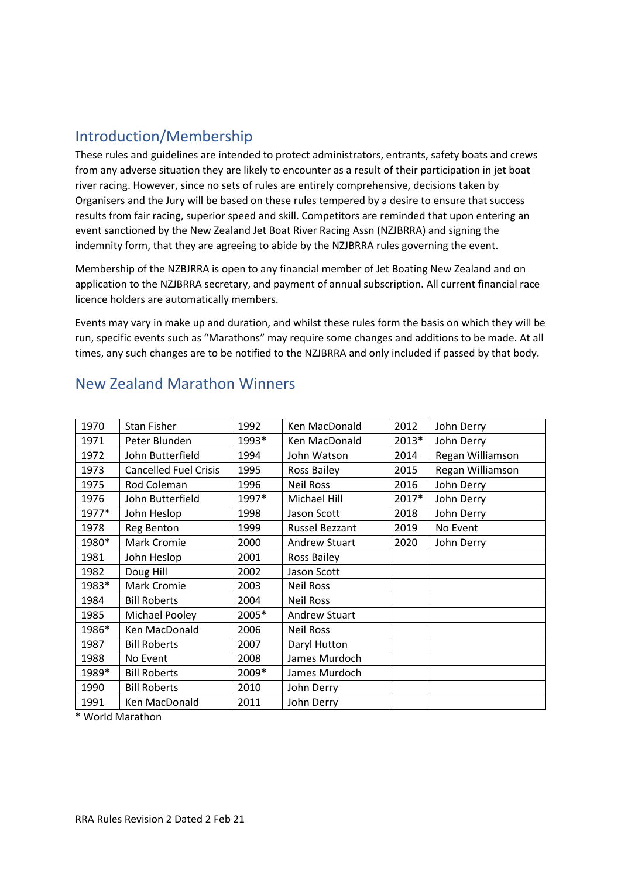### <span id="page-1-0"></span>Introduction/Membership

These rules and guidelines are intended to protect administrators, entrants, safety boats and crews from any adverse situation they are likely to encounter as a result of their participation in jet boat river racing. However, since no sets of rules are entirely comprehensive, decisions taken by Organisers and the Jury will be based on these rules tempered by a desire to ensure that success results from fair racing, superior speed and skill. Competitors are reminded that upon entering an event sanctioned by the New Zealand Jet Boat River Racing Assn (NZJBRRA) and signing the indemnity form, that they are agreeing to abide by the NZJBRRA rules governing the event.

Membership of the NZBJRRA is open to any financial member of Jet Boating New Zealand and on application to the NZJBRRA secretary, and payment of annual subscription. All current financial race licence holders are automatically members.

Events may vary in make up and duration, and whilst these rules form the basis on which they will be run, specific events such as "Marathons" may require some changes and additions to be made. At all times, any such changes are to be notified to the NZJBRRA and only included if passed by that body.

| 1970  | <b>Stan Fisher</b>           | 1992  | Ken MacDonald         | 2012  | John Derry       |
|-------|------------------------------|-------|-----------------------|-------|------------------|
| 1971  | Peter Blunden                | 1993* | Ken MacDonald         | 2013* | John Derry       |
| 1972  | John Butterfield             | 1994  | John Watson           | 2014  | Regan Williamson |
| 1973  | <b>Cancelled Fuel Crisis</b> | 1995  | <b>Ross Bailey</b>    | 2015  | Regan Williamson |
| 1975  | Rod Coleman                  | 1996  | <b>Neil Ross</b>      | 2016  | John Derry       |
| 1976  | John Butterfield             | 1997* | Michael Hill          | 2017* | John Derry       |
| 1977* | John Heslop                  | 1998  | Jason Scott           | 2018  | John Derry       |
| 1978  | Reg Benton                   | 1999  | <b>Russel Bezzant</b> | 2019  | No Event         |
| 1980* | <b>Mark Cromie</b>           | 2000  | <b>Andrew Stuart</b>  | 2020  | John Derry       |
| 1981  | John Heslop                  | 2001  | <b>Ross Bailey</b>    |       |                  |
| 1982  | Doug Hill                    | 2002  | Jason Scott           |       |                  |
| 1983* | Mark Cromie                  | 2003  | <b>Neil Ross</b>      |       |                  |
| 1984  | <b>Bill Roberts</b>          | 2004  | <b>Neil Ross</b>      |       |                  |
| 1985  | Michael Pooley               | 2005* | <b>Andrew Stuart</b>  |       |                  |
| 1986* | Ken MacDonald                | 2006  | <b>Neil Ross</b>      |       |                  |
| 1987  | <b>Bill Roberts</b>          | 2007  | Daryl Hutton          |       |                  |
| 1988  | No Event                     | 2008  | James Murdoch         |       |                  |
| 1989* | <b>Bill Roberts</b>          | 2009* | James Murdoch         |       |                  |
| 1990  | <b>Bill Roberts</b>          | 2010  | John Derry            |       |                  |
| 1991  | Ken MacDonald                | 2011  | John Derry            |       |                  |
|       |                              |       |                       |       |                  |

### <span id="page-1-1"></span>New Zealand Marathon Winners

\* World Marathon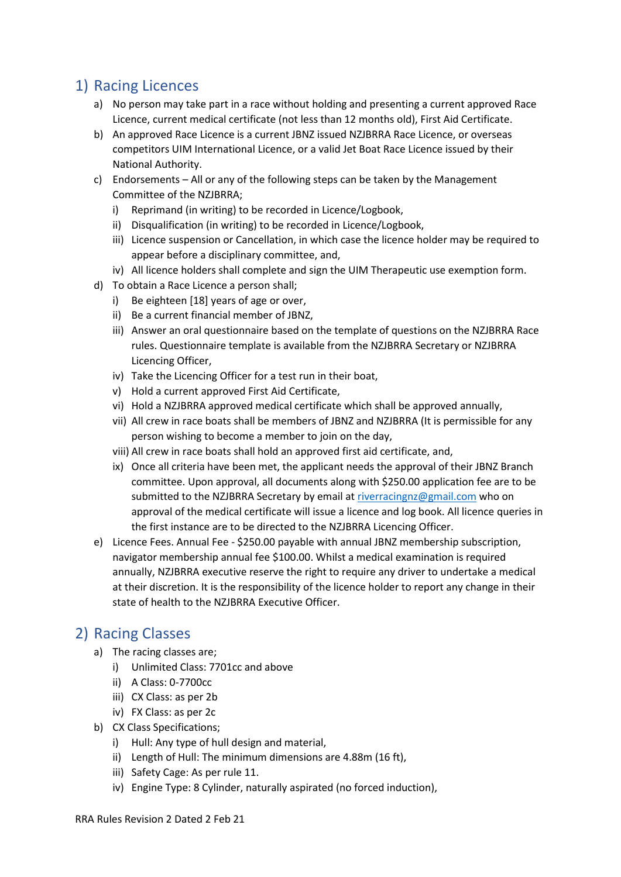## <span id="page-2-0"></span>1) Racing Licences

- a) No person may take part in a race without holding and presenting a current approved Race Licence, current medical certificate (not less than 12 months old), First Aid Certificate.
- b) An approved Race Licence is a current JBNZ issued NZJBRRA Race Licence, or overseas competitors UIM International Licence, or a valid Jet Boat Race Licence issued by their National Authority.
- c) Endorsements All or any of the following steps can be taken by the Management Committee of the NZJBRRA;
	- i) Reprimand (in writing) to be recorded in Licence/Logbook,
	- ii) Disqualification (in writing) to be recorded in Licence/Logbook,
	- iii) Licence suspension or Cancellation, in which case the licence holder may be required to appear before a disciplinary committee, and,
	- iv) All licence holders shall complete and sign the UIM Therapeutic use exemption form.
- d) To obtain a Race Licence a person shall;
	- i) Be eighteen [18] years of age or over,
	- ii) Be a current financial member of JBNZ,
	- iii) Answer an oral questionnaire based on the template of questions on the NZJBRRA Race rules. Questionnaire template is available from the NZJBRRA Secretary or NZJBRRA Licencing Officer,
	- iv) Take the Licencing Officer for a test run in their boat,
	- v) Hold a current approved First Aid Certificate,
	- vi) Hold a NZJBRRA approved medical certificate which shall be approved annually,
	- vii) All crew in race boats shall be members of JBNZ and NZJBRRA (It is permissible for any person wishing to become a member to join on the day,
	- viii) All crew in race boats shall hold an approved first aid certificate, and,
	- ix) Once all criteria have been met, the applicant needs the approval of their JBNZ Branch committee. Upon approval, all documents along with \$250.00 application fee are to be submitted to the NZJBRRA Secretary by email a[t riverracingnz@gmail.com](mailto:riverracingnz@gmail.com) who on approval of the medical certificate will issue a licence and log book. All licence queries in the first instance are to be directed to the NZJBRRA Licencing Officer.
- e) Licence Fees. Annual Fee \$250.00 payable with annual JBNZ membership subscription, navigator membership annual fee \$100.00. Whilst a medical examination is required annually, NZJBRRA executive reserve the right to require any driver to undertake a medical at their discretion. It is the responsibility of the licence holder to report any change in their state of health to the NZJBRRA Executive Officer.

### <span id="page-2-1"></span>2) Racing Classes

- a) The racing classes are;
	- i) Unlimited Class: 7701cc and above
	- ii) A Class: 0-7700cc
	- iii) CX Class: as per 2b
	- iv) FX Class: as per 2c
- b) CX Class Specifications;
	- i) Hull: Any type of hull design and material,
	- ii) Length of Hull: The minimum dimensions are 4.88m (16 ft),
	- iii) Safety Cage: As per rule 11.
	- iv) Engine Type: 8 Cylinder, naturally aspirated (no forced induction),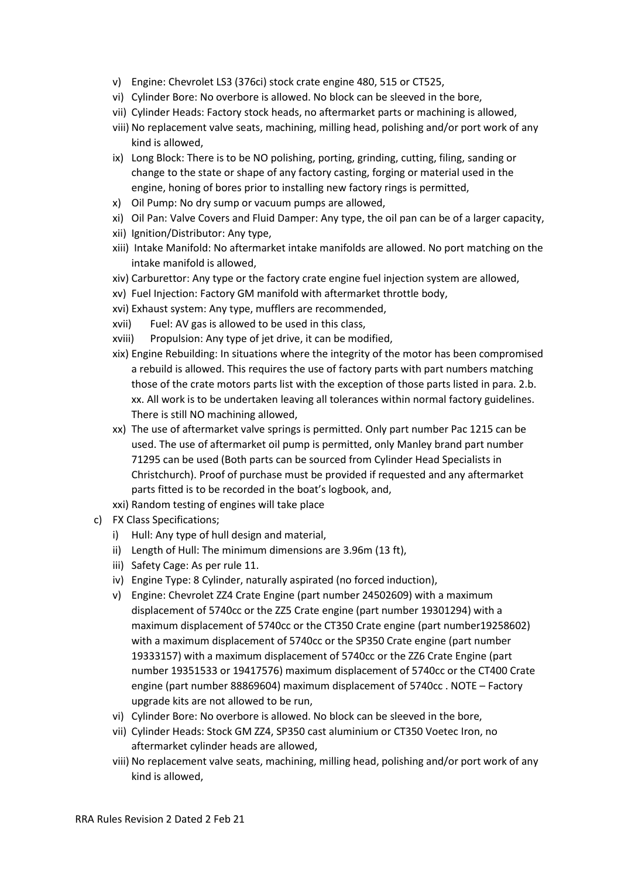- v) Engine: Chevrolet LS3 (376ci) stock crate engine 480, 515 or CT525,
- vi) Cylinder Bore: No overbore is allowed. No block can be sleeved in the bore,
- vii) Cylinder Heads: Factory stock heads, no aftermarket parts or machining is allowed,
- viii) No replacement valve seats, machining, milling head, polishing and/or port work of any kind is allowed,
- ix) Long Block: There is to be NO polishing, porting, grinding, cutting, filing, sanding or change to the state or shape of any factory casting, forging or material used in the engine, honing of bores prior to installing new factory rings is permitted,
- x) Oil Pump: No dry sump or vacuum pumps are allowed,
- xi) Oil Pan: Valve Covers and Fluid Damper: Any type, the oil pan can be of a larger capacity,
- xii) Ignition/Distributor: Any type,
- xiii) Intake Manifold: No aftermarket intake manifolds are allowed. No port matching on the intake manifold is allowed,
- xiv) Carburettor: Any type or the factory crate engine fuel injection system are allowed,
- xv) Fuel Injection: Factory GM manifold with aftermarket throttle body,
- xvi) Exhaust system: Any type, mufflers are recommended,
- xvii) Fuel: AV gas is allowed to be used in this class,
- xviii) Propulsion: Any type of jet drive, it can be modified,
- xix) Engine Rebuilding: In situations where the integrity of the motor has been compromised a rebuild is allowed. This requires the use of factory parts with part numbers matching those of the crate motors parts list with the exception of those parts listed in para. 2.b. xx. All work is to be undertaken leaving all tolerances within normal factory guidelines. There is still NO machining allowed,
- xx) The use of aftermarket valve springs is permitted. Only part number Pac 1215 can be used. The use of aftermarket oil pump is permitted, only Manley brand part number 71295 can be used (Both parts can be sourced from Cylinder Head Specialists in Christchurch). Proof of purchase must be provided if requested and any aftermarket parts fitted is to be recorded in the boat's logbook, and,
- xxi) Random testing of engines will take place
- c) FX Class Specifications;
	- i) Hull: Any type of hull design and material,
	- ii) Length of Hull: The minimum dimensions are 3.96m (13 ft),
	- iii) Safety Cage: As per rule 11.
	- iv) Engine Type: 8 Cylinder, naturally aspirated (no forced induction),
	- v) Engine: Chevrolet ZZ4 Crate Engine (part number 24502609) with a maximum displacement of 5740cc or the ZZ5 Crate engine (part number 19301294) with a maximum displacement of 5740cc or the CT350 Crate engine (part number19258602) with a maximum displacement of 5740cc or the SP350 Crate engine (part number 19333157) with a maximum displacement of 5740cc or the ZZ6 Crate Engine (part number 19351533 or 19417576) maximum displacement of 5740cc or the CT400 Crate engine (part number 88869604) maximum displacement of 5740cc . NOTE – Factory upgrade kits are not allowed to be run,
	- vi) Cylinder Bore: No overbore is allowed. No block can be sleeved in the bore,
	- vii) Cylinder Heads: Stock GM ZZ4, SP350 cast aluminium or CT350 Voetec Iron, no aftermarket cylinder heads are allowed,
	- viii) No replacement valve seats, machining, milling head, polishing and/or port work of any kind is allowed,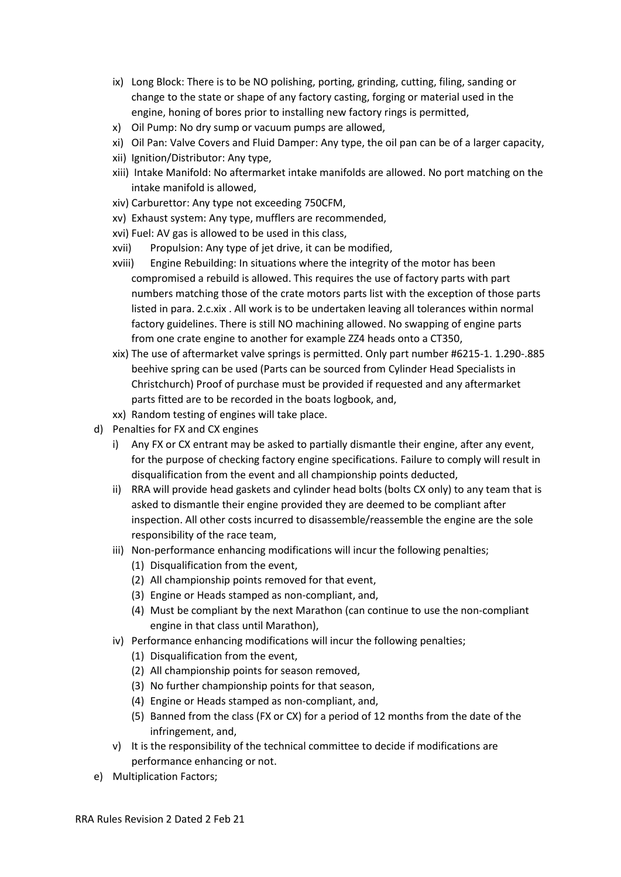- ix) Long Block: There is to be NO polishing, porting, grinding, cutting, filing, sanding or change to the state or shape of any factory casting, forging or material used in the engine, honing of bores prior to installing new factory rings is permitted,
- x) Oil Pump: No dry sump or vacuum pumps are allowed,
- xi) Oil Pan: Valve Covers and Fluid Damper: Any type, the oil pan can be of a larger capacity,
- xii) Ignition/Distributor: Any type,
- xiii) Intake Manifold: No aftermarket intake manifolds are allowed. No port matching on the intake manifold is allowed,
- xiv) Carburettor: Any type not exceeding 750CFM,
- xv) Exhaust system: Any type, mufflers are recommended,
- xvi) Fuel: AV gas is allowed to be used in this class,
- xvii) Propulsion: Any type of jet drive, it can be modified,
- xviii) Engine Rebuilding: In situations where the integrity of the motor has been compromised a rebuild is allowed. This requires the use of factory parts with part numbers matching those of the crate motors parts list with the exception of those parts listed in para. 2.c.xix . All work is to be undertaken leaving all tolerances within normal factory guidelines. There is still NO machining allowed. No swapping of engine parts from one crate engine to another for example ZZ4 heads onto a CT350,
- xix) The use of aftermarket valve springs is permitted. Only part number #6215-1. 1.290-.885 beehive spring can be used (Parts can be sourced from Cylinder Head Specialists in Christchurch) Proof of purchase must be provided if requested and any aftermarket parts fitted are to be recorded in the boats logbook, and,
- xx) Random testing of engines will take place.
- d) Penalties for FX and CX engines
	- i) Any FX or CX entrant may be asked to partially dismantle their engine, after any event, for the purpose of checking factory engine specifications. Failure to comply will result in disqualification from the event and all championship points deducted,
	- ii) RRA will provide head gaskets and cylinder head bolts (bolts CX only) to any team that is asked to dismantle their engine provided they are deemed to be compliant after inspection. All other costs incurred to disassemble/reassemble the engine are the sole responsibility of the race team,
	- iii) Non-performance enhancing modifications will incur the following penalties;
		- (1) Disqualification from the event,
		- (2) All championship points removed for that event,
		- (3) Engine or Heads stamped as non-compliant, and,
		- (4) Must be compliant by the next Marathon (can continue to use the non-compliant engine in that class until Marathon),
	- iv) Performance enhancing modifications will incur the following penalties;
		- (1) Disqualification from the event,
		- (2) All championship points for season removed,
		- (3) No further championship points for that season,
		- (4) Engine or Heads stamped as non-compliant, and,
		- (5) Banned from the class (FX or CX) for a period of 12 months from the date of the infringement, and,
	- v) It is the responsibility of the technical committee to decide if modifications are performance enhancing or not.
- e) Multiplication Factors;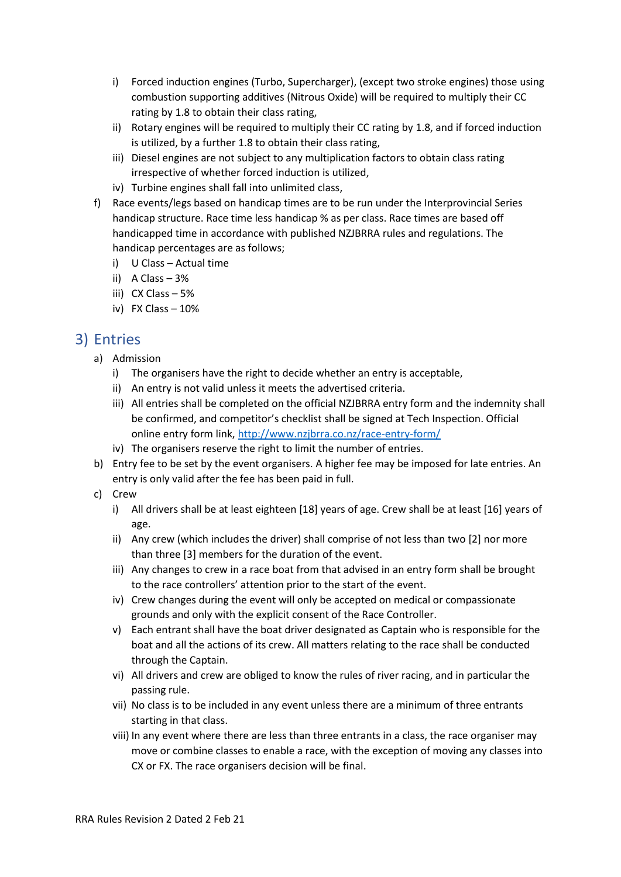- i) Forced induction engines (Turbo, Supercharger), (except two stroke engines) those using combustion supporting additives (Nitrous Oxide) will be required to multiply their CC rating by 1.8 to obtain their class rating,
- ii) Rotary engines will be required to multiply their CC rating by 1.8, and if forced induction is utilized, by a further 1.8 to obtain their class rating,
- iii) Diesel engines are not subject to any multiplication factors to obtain class rating irrespective of whether forced induction is utilized,
- iv) Turbine engines shall fall into unlimited class,
- f) Race events/legs based on handicap times are to be run under the Interprovincial Series handicap structure. Race time less handicap % as per class. Race times are based off handicapped time in accordance with published NZJBRRA rules and regulations. The handicap percentages are as follows;
	- i) U Class Actual time
	- ii) A Class 3%
	- iii) CX Class 5%
	- iv) FX Class 10%

### <span id="page-5-0"></span>3) Entries

- a) Admission
	- i) The organisers have the right to decide whether an entry is acceptable,
	- ii) An entry is not valid unless it meets the advertised criteria.
	- iii) All entries shall be completed on the official NZJBRRA entry form and the indemnity shall be confirmed, and competitor's checklist shall be signed at Tech Inspection. Official online entry form link,<http://www.nzjbrra.co.nz/race-entry-form/>
	- iv) The organisers reserve the right to limit the number of entries.
- b) Entry fee to be set by the event organisers. A higher fee may be imposed for late entries. An entry is only valid after the fee has been paid in full.
- c) Crew
	- i) All drivers shall be at least eighteen [18] years of age. Crew shall be at least [16] years of age.
	- ii) Any crew (which includes the driver) shall comprise of not less than two [2] nor more than three [3] members for the duration of the event.
	- iii) Any changes to crew in a race boat from that advised in an entry form shall be brought to the race controllers' attention prior to the start of the event.
	- iv) Crew changes during the event will only be accepted on medical or compassionate grounds and only with the explicit consent of the Race Controller.
	- v) Each entrant shall have the boat driver designated as Captain who is responsible for the boat and all the actions of its crew. All matters relating to the race shall be conducted through the Captain.
	- vi) All drivers and crew are obliged to know the rules of river racing, and in particular the passing rule.
	- vii) No class is to be included in any event unless there are a minimum of three entrants starting in that class.
	- viii) In any event where there are less than three entrants in a class, the race organiser may move or combine classes to enable a race, with the exception of moving any classes into CX or FX. The race organisers decision will be final.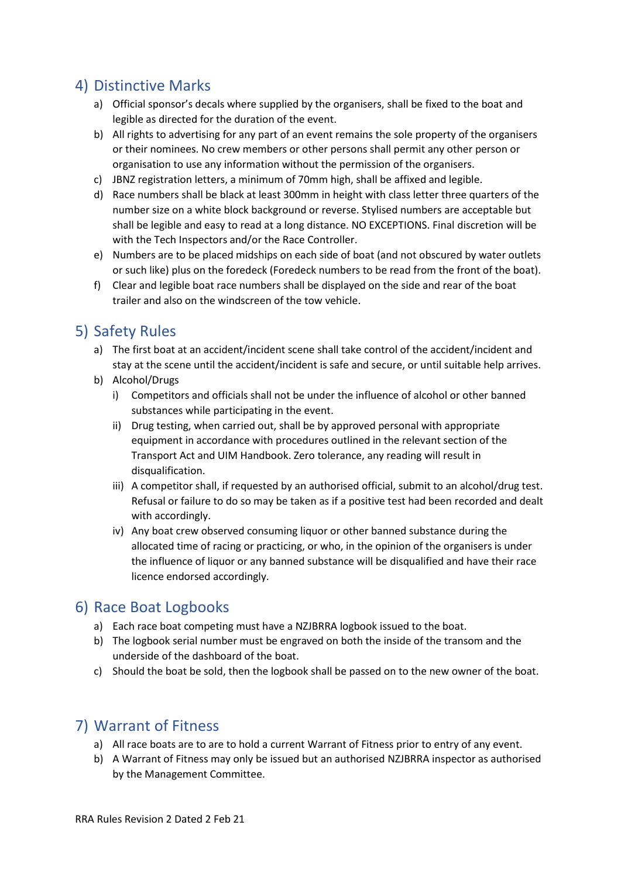### <span id="page-6-0"></span>4) Distinctive Marks

- a) Official sponsor's decals where supplied by the organisers, shall be fixed to the boat and legible as directed for the duration of the event.
- b) All rights to advertising for any part of an event remains the sole property of the organisers or their nominees. No crew members or other persons shall permit any other person or organisation to use any information without the permission of the organisers.
- c) JBNZ registration letters, a minimum of 70mm high, shall be affixed and legible.
- d) Race numbers shall be black at least 300mm in height with class letter three quarters of the number size on a white block background or reverse. Stylised numbers are acceptable but shall be legible and easy to read at a long distance. NO EXCEPTIONS. Final discretion will be with the Tech Inspectors and/or the Race Controller.
- e) Numbers are to be placed midships on each side of boat (and not obscured by water outlets or such like) plus on the foredeck (Foredeck numbers to be read from the front of the boat).
- f) Clear and legible boat race numbers shall be displayed on the side and rear of the boat trailer and also on the windscreen of the tow vehicle.

## <span id="page-6-1"></span>5) Safety Rules

- a) The first boat at an accident/incident scene shall take control of the accident/incident and stay at the scene until the accident/incident is safe and secure, or until suitable help arrives.
- b) Alcohol/Drugs
	- i) Competitors and officials shall not be under the influence of alcohol or other banned substances while participating in the event.
	- ii) Drug testing, when carried out, shall be by approved personal with appropriate equipment in accordance with procedures outlined in the relevant section of the Transport Act and UIM Handbook. Zero tolerance, any reading will result in disqualification.
	- iii) A competitor shall, if requested by an authorised official, submit to an alcohol/drug test. Refusal or failure to do so may be taken as if a positive test had been recorded and dealt with accordingly.
	- iv) Any boat crew observed consuming liquor or other banned substance during the allocated time of racing or practicing, or who, in the opinion of the organisers is under the influence of liquor or any banned substance will be disqualified and have their race licence endorsed accordingly.

### <span id="page-6-2"></span>6) Race Boat Logbooks

- a) Each race boat competing must have a NZJBRRA logbook issued to the boat.
- b) The logbook serial number must be engraved on both the inside of the transom and the underside of the dashboard of the boat.
- c) Should the boat be sold, then the logbook shall be passed on to the new owner of the boat.

### <span id="page-6-3"></span>7) Warrant of Fitness

- a) All race boats are to are to hold a current Warrant of Fitness prior to entry of any event.
- b) A Warrant of Fitness may only be issued but an authorised NZJBRRA inspector as authorised by the Management Committee.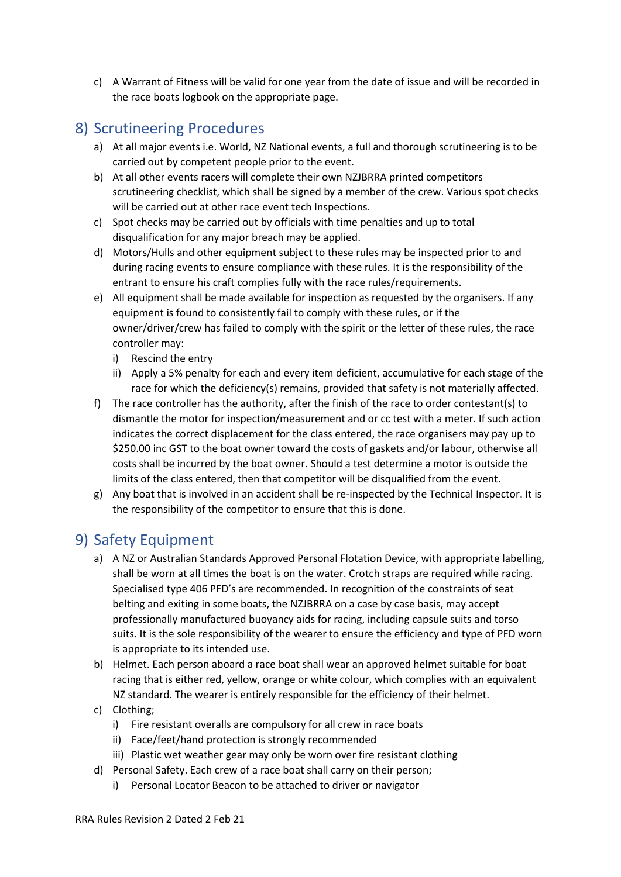c) A Warrant of Fitness will be valid for one year from the date of issue and will be recorded in the race boats logbook on the appropriate page.

### <span id="page-7-0"></span>8) Scrutineering Procedures

- a) At all major events i.e. World, NZ National events, a full and thorough scrutineering is to be carried out by competent people prior to the event.
- b) At all other events racers will complete their own NZJBRRA printed competitors scrutineering checklist, which shall be signed by a member of the crew. Various spot checks will be carried out at other race event tech Inspections.
- c) Spot checks may be carried out by officials with time penalties and up to total disqualification for any major breach may be applied.
- d) Motors/Hulls and other equipment subject to these rules may be inspected prior to and during racing events to ensure compliance with these rules. It is the responsibility of the entrant to ensure his craft complies fully with the race rules/requirements.
- e) All equipment shall be made available for inspection as requested by the organisers. If any equipment is found to consistently fail to comply with these rules, or if the owner/driver/crew has failed to comply with the spirit or the letter of these rules, the race controller may:
	- i) Rescind the entry
	- ii) Apply a 5% penalty for each and every item deficient, accumulative for each stage of the race for which the deficiency(s) remains, provided that safety is not materially affected.
- f) The race controller has the authority, after the finish of the race to order contestant(s) to dismantle the motor for inspection/measurement and or cc test with a meter. If such action indicates the correct displacement for the class entered, the race organisers may pay up to \$250.00 inc GST to the boat owner toward the costs of gaskets and/or labour, otherwise all costs shall be incurred by the boat owner. Should a test determine a motor is outside the limits of the class entered, then that competitor will be disqualified from the event.
- g) Any boat that is involved in an accident shall be re-inspected by the Technical Inspector. It is the responsibility of the competitor to ensure that this is done.

## <span id="page-7-1"></span>9) Safety Equipment

- a) A NZ or Australian Standards Approved Personal Flotation Device, with appropriate labelling, shall be worn at all times the boat is on the water. Crotch straps are required while racing. Specialised type 406 PFD's are recommended. In recognition of the constraints of seat belting and exiting in some boats, the NZJBRRA on a case by case basis, may accept professionally manufactured buoyancy aids for racing, including capsule suits and torso suits. It is the sole responsibility of the wearer to ensure the efficiency and type of PFD worn is appropriate to its intended use.
- b) Helmet. Each person aboard a race boat shall wear an approved helmet suitable for boat racing that is either red, yellow, orange or white colour, which complies with an equivalent NZ standard. The wearer is entirely responsible for the efficiency of their helmet.
- c) Clothing;
	- i) Fire resistant overalls are compulsory for all crew in race boats
	- ii) Face/feet/hand protection is strongly recommended
	- iii) Plastic wet weather gear may only be worn over fire resistant clothing
- d) Personal Safety. Each crew of a race boat shall carry on their person;
	- i) Personal Locator Beacon to be attached to driver or navigator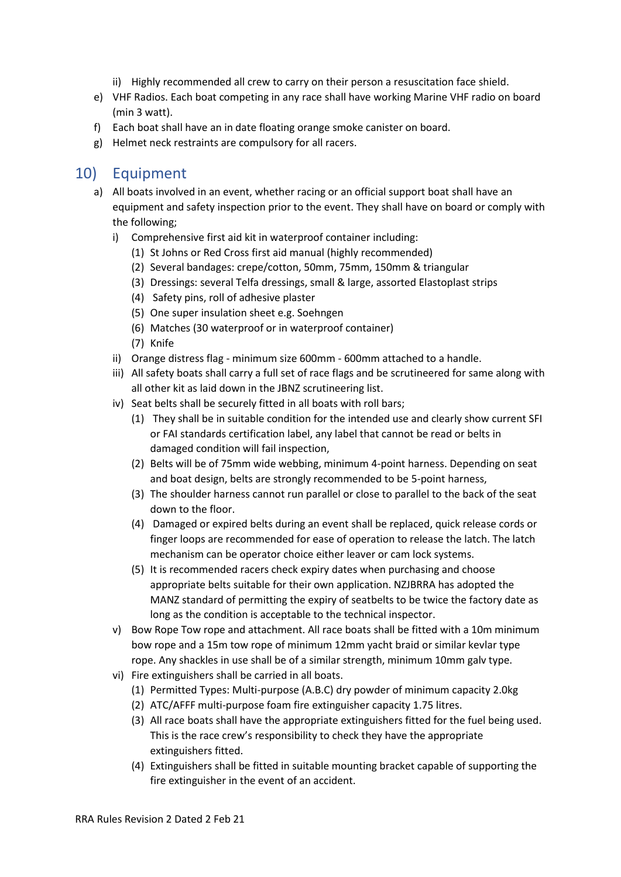- ii) Highly recommended all crew to carry on their person a resuscitation face shield.
- e) VHF Radios. Each boat competing in any race shall have working Marine VHF radio on board (min 3 watt).
- f) Each boat shall have an in date floating orange smoke canister on board.
- g) Helmet neck restraints are compulsory for all racers.

### <span id="page-8-0"></span>10) Equipment

- a) All boats involved in an event, whether racing or an official support boat shall have an equipment and safety inspection prior to the event. They shall have on board or comply with the following;
	- i) Comprehensive first aid kit in waterproof container including:
		- (1) St Johns or Red Cross first aid manual (highly recommended)
		- (2) Several bandages: crepe/cotton, 50mm, 75mm, 150mm & triangular
		- (3) Dressings: several Telfa dressings, small & large, assorted Elastoplast strips
		- (4) Safety pins, roll of adhesive plaster
		- (5) One super insulation sheet e.g. Soehngen
		- (6) Matches (30 waterproof or in waterproof container)
		- (7) Knife
	- ii) Orange distress flag minimum size 600mm 600mm attached to a handle.
	- iii) All safety boats shall carry a full set of race flags and be scrutineered for same along with all other kit as laid down in the JBNZ scrutineering list.
	- iv) Seat belts shall be securely fitted in all boats with roll bars;
		- (1) They shall be in suitable condition for the intended use and clearly show current SFI or FAI standards certification label, any label that cannot be read or belts in damaged condition will fail inspection,
		- (2) Belts will be of 75mm wide webbing, minimum 4-point harness. Depending on seat and boat design, belts are strongly recommended to be 5-point harness,
		- (3) The shoulder harness cannot run parallel or close to parallel to the back of the seat down to the floor.
		- (4) Damaged or expired belts during an event shall be replaced, quick release cords or finger loops are recommended for ease of operation to release the latch. The latch mechanism can be operator choice either leaver or cam lock systems.
		- (5) It is recommended racers check expiry dates when purchasing and choose appropriate belts suitable for their own application. NZJBRRA has adopted the MANZ standard of permitting the expiry of seatbelts to be twice the factory date as long as the condition is acceptable to the technical inspector.
	- v) Bow Rope Tow rope and attachment. All race boats shall be fitted with a 10m minimum bow rope and a 15m tow rope of minimum 12mm yacht braid or similar kevlar type rope. Any shackles in use shall be of a similar strength, minimum 10mm galv type.
	- vi) Fire extinguishers shall be carried in all boats.
		- (1) Permitted Types: Multi-purpose (A.B.C) dry powder of minimum capacity 2.0kg
		- (2) ATC/AFFF multi-purpose foam fire extinguisher capacity 1.75 litres.
		- (3) All race boats shall have the appropriate extinguishers fitted for the fuel being used. This is the race crew's responsibility to check they have the appropriate extinguishers fitted.
		- (4) Extinguishers shall be fitted in suitable mounting bracket capable of supporting the fire extinguisher in the event of an accident.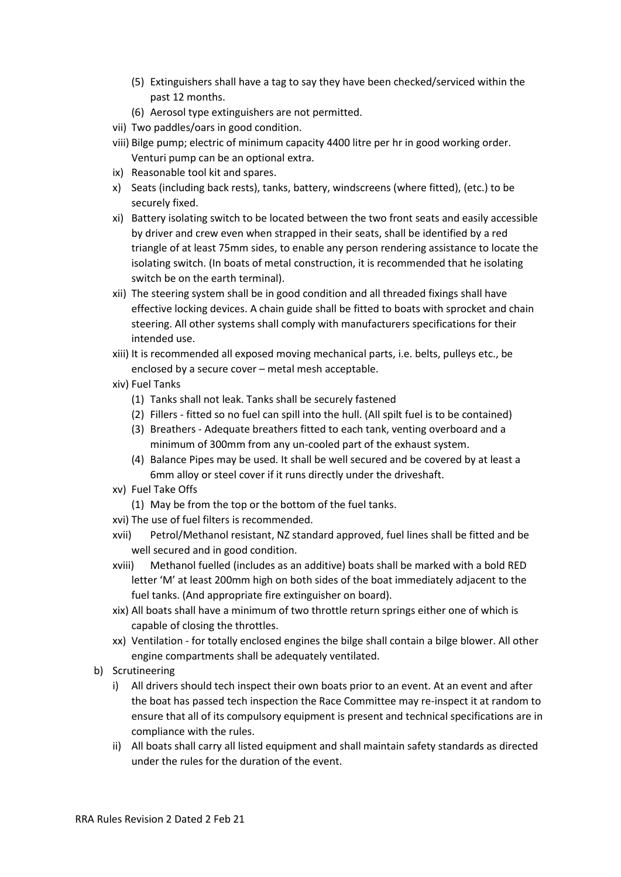- (5) Extinguishers shall have a tag to say they have been checked/serviced within the past 12 months.
- (6) Aerosol type extinguishers are not permitted.
- vii) Two paddles/oars in good condition.
- viii) Bilge pump; electric of minimum capacity 4400 litre per hr in good working order. Venturi pump can be an optional extra.
- ix) Reasonable tool kit and spares.
- x) Seats (including back rests), tanks, battery, windscreens (where fitted), (etc.) to be securely fixed.
- xi) Battery isolating switch to be located between the two front seats and easily accessible by driver and crew even when strapped in their seats, shall be identified by a red triangle of at least 75mm sides, to enable any person rendering assistance to locate the isolating switch. (In boats of metal construction, it is recommended that he isolating switch be on the earth terminal).
- xii) The steering system shall be in good condition and all threaded fixings shall have effective locking devices. A chain guide shall be fitted to boats with sprocket and chain steering. All other systems shall comply with manufacturers specifications for their intended use.
- xiii) It is recommended all exposed moving mechanical parts, i.e. belts, pulleys etc., be enclosed by a secure cover – metal mesh acceptable.
- xiv) Fuel Tanks
	- (1) Tanks shall not leak. Tanks shall be securely fastened
	- (2) Fillers fitted so no fuel can spill into the hull. (All spilt fuel is to be contained)
	- (3) Breathers Adequate breathers fitted to each tank, venting overboard and a minimum of 300mm from any un-cooled part of the exhaust system.
	- (4) Balance Pipes may be used. It shall be well secured and be covered by at least a 6mm alloy or steel cover if it runs directly under the driveshaft.
- xv) Fuel Take Offs
	- (1) May be from the top or the bottom of the fuel tanks.
- xvi) The use of fuel filters is recommended.
- xvii) Petrol/Methanol resistant, NZ standard approved, fuel lines shall be fitted and be well secured and in good condition.
- xviii) Methanol fuelled (includes as an additive) boats shall be marked with a bold RED letter 'M' at least 200mm high on both sides of the boat immediately adjacent to the fuel tanks. (And appropriate fire extinguisher on board).
- xix) All boats shall have a minimum of two throttle return springs either one of which is capable of closing the throttles.
- xx) Ventilation for totally enclosed engines the bilge shall contain a bilge blower. All other engine compartments shall be adequately ventilated.
- b) Scrutineering
	- i) All drivers should tech inspect their own boats prior to an event. At an event and after the boat has passed tech inspection the Race Committee may re-inspect it at random to ensure that all of its compulsory equipment is present and technical specifications are in compliance with the rules.
	- ii) All boats shall carry all listed equipment and shall maintain safety standards as directed under the rules for the duration of the event.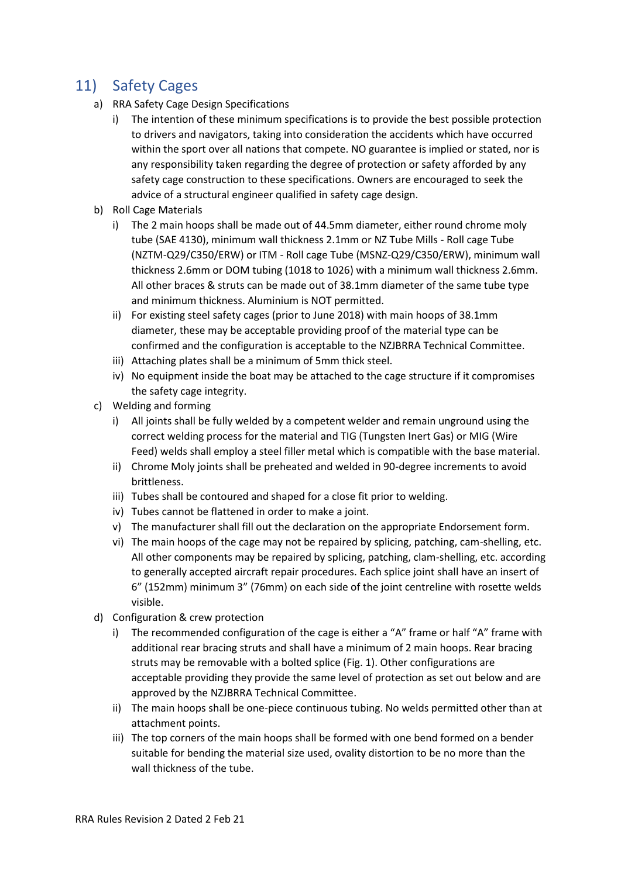## <span id="page-10-0"></span>11) Safety Cages

- a) RRA Safety Cage Design Specifications
	- i) The intention of these minimum specifications is to provide the best possible protection to drivers and navigators, taking into consideration the accidents which have occurred within the sport over all nations that compete. NO guarantee is implied or stated, nor is any responsibility taken regarding the degree of protection or safety afforded by any safety cage construction to these specifications. Owners are encouraged to seek the advice of a structural engineer qualified in safety cage design.
- b) Roll Cage Materials
	- i) The 2 main hoops shall be made out of 44.5mm diameter, either round chrome moly tube (SAE 4130), minimum wall thickness 2.1mm or NZ Tube Mills - Roll cage Tube (NZTM-Q29/C350/ERW) or ITM - Roll cage Tube (MSNZ-Q29/C350/ERW), minimum wall thickness 2.6mm or DOM tubing (1018 to 1026) with a minimum wall thickness 2.6mm. All other braces & struts can be made out of 38.1mm diameter of the same tube type and minimum thickness. Aluminium is NOT permitted.
	- ii) For existing steel safety cages (prior to June 2018) with main hoops of 38.1mm diameter, these may be acceptable providing proof of the material type can be confirmed and the configuration is acceptable to the NZJBRRA Technical Committee.
	- iii) Attaching plates shall be a minimum of 5mm thick steel.
	- iv) No equipment inside the boat may be attached to the cage structure if it compromises the safety cage integrity.
- c) Welding and forming
	- i) All joints shall be fully welded by a competent welder and remain unground using the correct welding process for the material and TIG (Tungsten Inert Gas) or MIG (Wire Feed) welds shall employ a steel filler metal which is compatible with the base material.
	- ii) Chrome Moly joints shall be preheated and welded in 90-degree increments to avoid brittleness.
	- iii) Tubes shall be contoured and shaped for a close fit prior to welding.
	- iv) Tubes cannot be flattened in order to make a joint.
	- v) The manufacturer shall fill out the declaration on the appropriate Endorsement form.
	- vi) The main hoops of the cage may not be repaired by splicing, patching, cam-shelling, etc. All other components may be repaired by splicing, patching, clam-shelling, etc. according to generally accepted aircraft repair procedures. Each splice joint shall have an insert of 6" (152mm) minimum 3" (76mm) on each side of the joint centreline with rosette welds visible.
- d) Configuration & crew protection
	- i) The recommended configuration of the cage is either a "A" frame or half "A" frame with additional rear bracing struts and shall have a minimum of 2 main hoops. Rear bracing struts may be removable with a bolted splice (Fig. 1). Other configurations are acceptable providing they provide the same level of protection as set out below and are approved by the NZJBRRA Technical Committee.
	- ii) The main hoops shall be one-piece continuous tubing. No welds permitted other than at attachment points.
	- iii) The top corners of the main hoops shall be formed with one bend formed on a bender suitable for bending the material size used, ovality distortion to be no more than the wall thickness of the tube.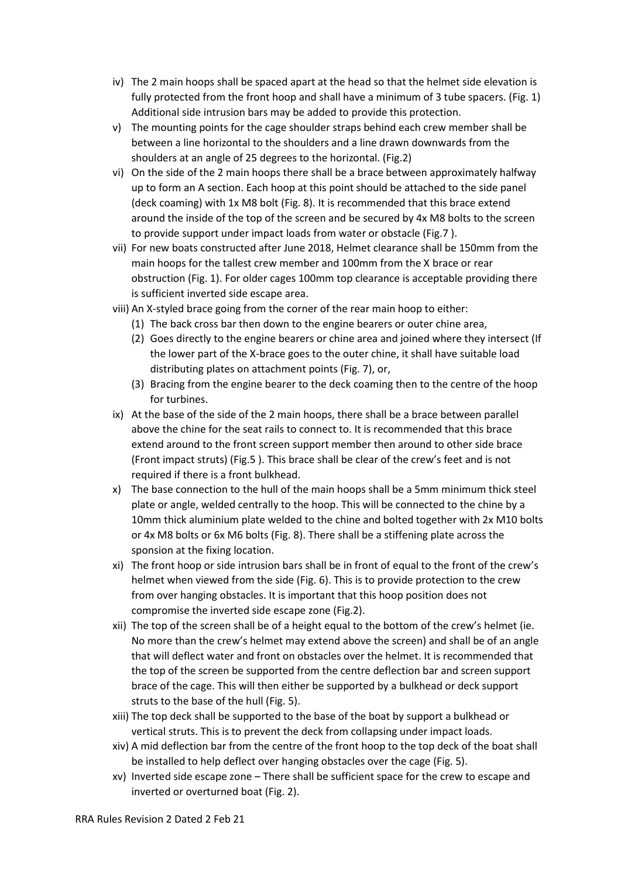- iv) The 2 main hoops shall be spaced apart at the head so that the helmet side elevation is fully protected from the front hoop and shall have a minimum of 3 tube spacers. (Fig. 1) Additional side intrusion bars may be added to provide this protection.
- v) The mounting points for the cage shoulder straps behind each crew member shall be between a line horizontal to the shoulders and a line drawn downwards from the shoulders at an angle of 25 degrees to the horizontal. (Fig.2)
- vi) On the side of the 2 main hoops there shall be a brace between approximately halfway up to form an A section. Each hoop at this point should be attached to the side panel (deck coaming) with 1x M8 bolt (Fig. 8). It is recommended that this brace extend around the inside of the top of the screen and be secured by 4x M8 bolts to the screen to provide support under impact loads from water or obstacle (Fig.7 ).
- vii) For new boats constructed after June 2018, Helmet clearance shall be 150mm from the main hoops for the tallest crew member and 100mm from the X brace or rear obstruction (Fig. 1). For older cages 100mm top clearance is acceptable providing there is sufficient inverted side escape area.
- viii) An X-styled brace going from the corner of the rear main hoop to either:
	- (1) The back cross bar then down to the engine bearers or outer chine area,
	- (2) Goes directly to the engine bearers or chine area and joined where they intersect (If the lower part of the X-brace goes to the outer chine, it shall have suitable load distributing plates on attachment points (Fig. 7), or,
	- (3) Bracing from the engine bearer to the deck coaming then to the centre of the hoop for turbines.
- ix) At the base of the side of the 2 main hoops, there shall be a brace between parallel above the chine for the seat rails to connect to. It is recommended that this brace extend around to the front screen support member then around to other side brace (Front impact struts) (Fig.5 ). This brace shall be clear of the crew's feet and is not required if there is a front bulkhead.
- x) The base connection to the hull of the main hoops shall be a 5mm minimum thick steel plate or angle, welded centrally to the hoop. This will be connected to the chine by a 10mm thick aluminium plate welded to the chine and bolted together with 2x M10 bolts or 4x M8 bolts or 6x M6 bolts (Fig. 8). There shall be a stiffening plate across the sponsion at the fixing location.
- xi) The front hoop or side intrusion bars shall be in front of equal to the front of the crew's helmet when viewed from the side (Fig. 6). This is to provide protection to the crew from over hanging obstacles. It is important that this hoop position does not compromise the inverted side escape zone (Fig.2).
- xii) The top of the screen shall be of a height equal to the bottom of the crew's helmet (ie. No more than the crew's helmet may extend above the screen) and shall be of an angle that will deflect water and front on obstacles over the helmet. It is recommended that the top of the screen be supported from the centre deflection bar and screen support brace of the cage. This will then either be supported by a bulkhead or deck support struts to the base of the hull (Fig. 5).
- xiii) The top deck shall be supported to the base of the boat by support a bulkhead or vertical struts. This is to prevent the deck from collapsing under impact loads.
- xiv) A mid deflection bar from the centre of the front hoop to the top deck of the boat shall be installed to help deflect over hanging obstacles over the cage (Fig. 5).
- xv) Inverted side escape zone There shall be sufficient space for the crew to escape and inverted or overturned boat (Fig. 2).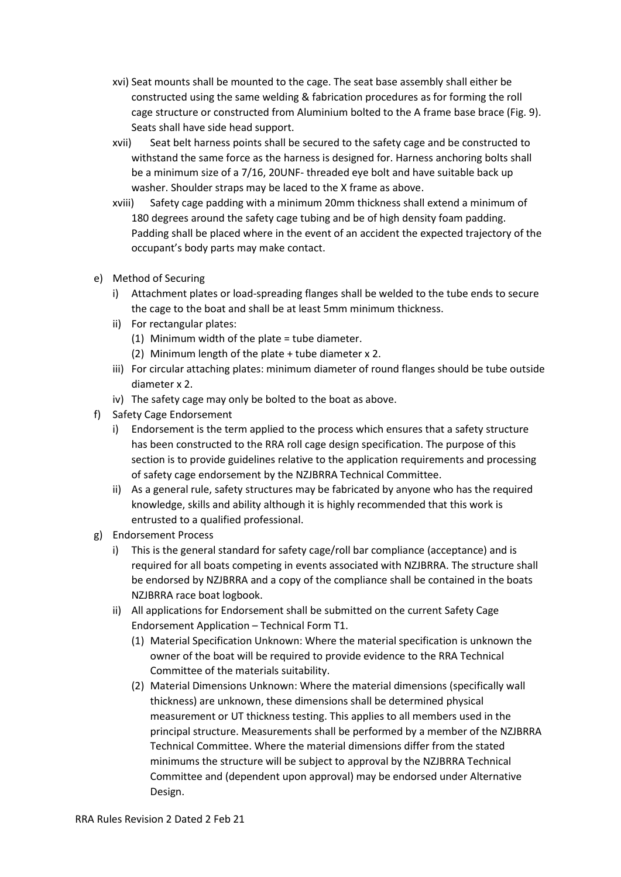- xvi) Seat mounts shall be mounted to the cage. The seat base assembly shall either be constructed using the same welding & fabrication procedures as for forming the roll cage structure or constructed from Aluminium bolted to the A frame base brace (Fig. 9). Seats shall have side head support.
- xvii) Seat belt harness points shall be secured to the safety cage and be constructed to withstand the same force as the harness is designed for. Harness anchoring bolts shall be a minimum size of a 7/16, 20UNF- threaded eye bolt and have suitable back up washer. Shoulder straps may be laced to the X frame as above.
- xviii) Safety cage padding with a minimum 20mm thickness shall extend a minimum of 180 degrees around the safety cage tubing and be of high density foam padding. Padding shall be placed where in the event of an accident the expected trajectory of the occupant's body parts may make contact.
- e) Method of Securing
	- i) Attachment plates or load-spreading flanges shall be welded to the tube ends to secure the cage to the boat and shall be at least 5mm minimum thickness.
	- ii) For rectangular plates:
		- (1) Minimum width of the plate = tube diameter.
		- (2) Minimum length of the plate + tube diameter x 2.
	- iii) For circular attaching plates: minimum diameter of round flanges should be tube outside diameter x 2.
	- iv) The safety cage may only be bolted to the boat as above.
- f) Safety Cage Endorsement
	- i) Endorsement is the term applied to the process which ensures that a safety structure has been constructed to the RRA roll cage design specification. The purpose of this section is to provide guidelines relative to the application requirements and processing of safety cage endorsement by the NZJBRRA Technical Committee.
	- ii) As a general rule, safety structures may be fabricated by anyone who has the required knowledge, skills and ability although it is highly recommended that this work is entrusted to a qualified professional.
- g) Endorsement Process
	- i) This is the general standard for safety cage/roll bar compliance (acceptance) and is required for all boats competing in events associated with NZJBRRA. The structure shall be endorsed by NZJBRRA and a copy of the compliance shall be contained in the boats NZJBRRA race boat logbook.
	- ii) All applications for Endorsement shall be submitted on the current Safety Cage Endorsement Application – Technical Form T1.
		- (1) Material Specification Unknown: Where the material specification is unknown the owner of the boat will be required to provide evidence to the RRA Technical Committee of the materials suitability.
		- (2) Material Dimensions Unknown: Where the material dimensions (specifically wall thickness) are unknown, these dimensions shall be determined physical measurement or UT thickness testing. This applies to all members used in the principal structure. Measurements shall be performed by a member of the NZJBRRA Technical Committee. Where the material dimensions differ from the stated minimums the structure will be subject to approval by the NZJBRRA Technical Committee and (dependent upon approval) may be endorsed under Alternative Design.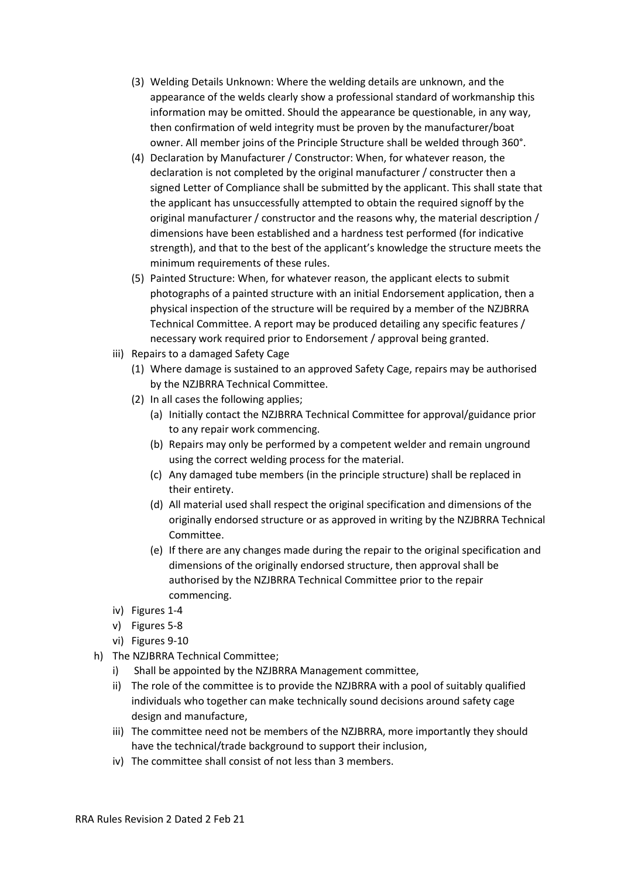- (3) Welding Details Unknown: Where the welding details are unknown, and the appearance of the welds clearly show a professional standard of workmanship this information may be omitted. Should the appearance be questionable, in any way, then confirmation of weld integrity must be proven by the manufacturer/boat owner. All member joins of the Principle Structure shall be welded through 360°.
- (4) Declaration by Manufacturer / Constructor: When, for whatever reason, the declaration is not completed by the original manufacturer / constructer then a signed Letter of Compliance shall be submitted by the applicant. This shall state that the applicant has unsuccessfully attempted to obtain the required signoff by the original manufacturer / constructor and the reasons why, the material description / dimensions have been established and a hardness test performed (for indicative strength), and that to the best of the applicant's knowledge the structure meets the minimum requirements of these rules.
- (5) Painted Structure: When, for whatever reason, the applicant elects to submit photographs of a painted structure with an initial Endorsement application, then a physical inspection of the structure will be required by a member of the NZJBRRA Technical Committee. A report may be produced detailing any specific features / necessary work required prior to Endorsement / approval being granted.
- iii) Repairs to a damaged Safety Cage
	- (1) Where damage is sustained to an approved Safety Cage, repairs may be authorised by the NZJBRRA Technical Committee.
	- (2) In all cases the following applies;
		- (a) Initially contact the NZJBRRA Technical Committee for approval/guidance prior to any repair work commencing.
		- (b) Repairs may only be performed by a competent welder and remain unground using the correct welding process for the material.
		- (c) Any damaged tube members (in the principle structure) shall be replaced in their entirety.
		- (d) All material used shall respect the original specification and dimensions of the originally endorsed structure or as approved in writing by the NZJBRRA Technical Committee.
		- (e) If there are any changes made during the repair to the original specification and dimensions of the originally endorsed structure, then approval shall be authorised by the NZJBRRA Technical Committee prior to the repair commencing.
- iv) Figures 1-4
- v) Figures 5-8
- vi) Figures 9-10
- h) The NZJBRRA Technical Committee;
	- i) Shall be appointed by the NZJBRRA Management committee,
	- ii) The role of the committee is to provide the NZJBRRA with a pool of suitably qualified individuals who together can make technically sound decisions around safety cage design and manufacture,
	- iii) The committee need not be members of the NZJBRRA, more importantly they should have the technical/trade background to support their inclusion,
	- iv) The committee shall consist of not less than 3 members.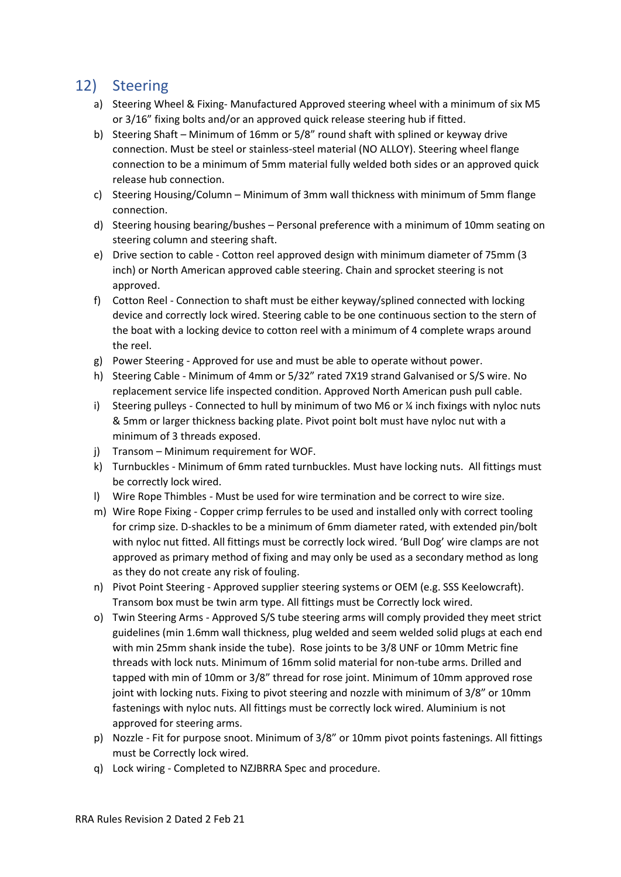### <span id="page-14-0"></span>12) Steering

- a) Steering Wheel & Fixing- Manufactured Approved steering wheel with a minimum of six M5 or 3/16" fixing bolts and/or an approved quick release steering hub if fitted.
- b) Steering Shaft Minimum of 16mm or 5/8" round shaft with splined or keyway drive connection. Must be steel or stainless-steel material (NO ALLOY). Steering wheel flange connection to be a minimum of 5mm material fully welded both sides or an approved quick release hub connection.
- c) Steering Housing/Column Minimum of 3mm wall thickness with minimum of 5mm flange connection.
- d) Steering housing bearing/bushes Personal preference with a minimum of 10mm seating on steering column and steering shaft.
- e) Drive section to cable Cotton reel approved design with minimum diameter of 75mm (3 inch) or North American approved cable steering. Chain and sprocket steering is not approved.
- f) Cotton Reel Connection to shaft must be either keyway/splined connected with locking device and correctly lock wired. Steering cable to be one continuous section to the stern of the boat with a locking device to cotton reel with a minimum of 4 complete wraps around the reel.
- g) Power Steering Approved for use and must be able to operate without power.
- h) Steering Cable Minimum of 4mm or 5/32" rated 7X19 strand Galvanised or S/S wire. No replacement service life inspected condition. Approved North American push pull cable.
- i) Steering pulleys Connected to hull by minimum of two M6 or % inch fixings with nyloc nuts & 5mm or larger thickness backing plate. Pivot point bolt must have nyloc nut with a minimum of 3 threads exposed.
- j) Transom Minimum requirement for WOF.
- k) Turnbuckles Minimum of 6mm rated turnbuckles. Must have locking nuts. All fittings must be correctly lock wired.
- l) Wire Rope Thimbles Must be used for wire termination and be correct to wire size.
- m) Wire Rope Fixing Copper crimp ferrules to be used and installed only with correct tooling for crimp size. D-shackles to be a minimum of 6mm diameter rated, with extended pin/bolt with nyloc nut fitted. All fittings must be correctly lock wired. 'Bull Dog' wire clamps are not approved as primary method of fixing and may only be used as a secondary method as long as they do not create any risk of fouling.
- n) Pivot Point Steering Approved supplier steering systems or OEM (e.g. SSS Keelowcraft). Transom box must be twin arm type. All fittings must be Correctly lock wired.
- o) Twin Steering Arms Approved S/S tube steering arms will comply provided they meet strict guidelines (min 1.6mm wall thickness, plug welded and seem welded solid plugs at each end with min 25mm shank inside the tube). Rose joints to be 3/8 UNF or 10mm Metric fine threads with lock nuts. Minimum of 16mm solid material for non-tube arms. Drilled and tapped with min of 10mm or 3/8" thread for rose joint. Minimum of 10mm approved rose joint with locking nuts. Fixing to pivot steering and nozzle with minimum of 3/8" or 10mm fastenings with nyloc nuts. All fittings must be correctly lock wired. Aluminium is not approved for steering arms.
- p) Nozzle Fit for purpose snoot. Minimum of 3/8" or 10mm pivot points fastenings. All fittings must be Correctly lock wired.
- q) Lock wiring Completed to NZJBRRA Spec and procedure.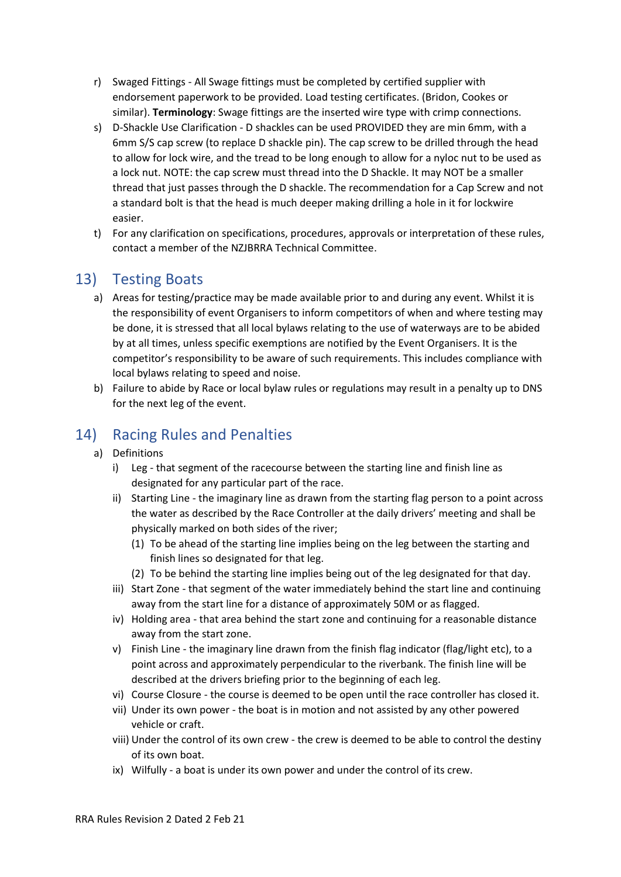- r) Swaged Fittings All Swage fittings must be completed by certified supplier with endorsement paperwork to be provided. Load testing certificates. (Bridon, Cookes or similar). **Terminology**: Swage fittings are the inserted wire type with crimp connections.
- s) D-Shackle Use Clarification D shackles can be used PROVIDED they are min 6mm, with a 6mm S/S cap screw (to replace D shackle pin). The cap screw to be drilled through the head to allow for lock wire, and the tread to be long enough to allow for a nyloc nut to be used as a lock nut. NOTE: the cap screw must thread into the D Shackle. It may NOT be a smaller thread that just passes through the D shackle. The recommendation for a Cap Screw and not a standard bolt is that the head is much deeper making drilling a hole in it for lockwire easier.
- t) For any clarification on specifications, procedures, approvals or interpretation of these rules, contact a member of the NZJBRRA Technical Committee.

### <span id="page-15-0"></span>13) Testing Boats

- a) Areas for testing/practice may be made available prior to and during any event. Whilst it is the responsibility of event Organisers to inform competitors of when and where testing may be done, it is stressed that all local bylaws relating to the use of waterways are to be abided by at all times, unless specific exemptions are notified by the Event Organisers. It is the competitor's responsibility to be aware of such requirements. This includes compliance with local bylaws relating to speed and noise.
- b) Failure to abide by Race or local bylaw rules or regulations may result in a penalty up to DNS for the next leg of the event.

### <span id="page-15-1"></span>14) Racing Rules and Penalties

- a) Definitions
	- i) Leg that segment of the racecourse between the starting line and finish line as designated for any particular part of the race.
	- ii) Starting Line the imaginary line as drawn from the starting flag person to a point across the water as described by the Race Controller at the daily drivers' meeting and shall be physically marked on both sides of the river;
		- (1) To be ahead of the starting line implies being on the leg between the starting and finish lines so designated for that leg.
		- (2) To be behind the starting line implies being out of the leg designated for that day.
	- iii) Start Zone that segment of the water immediately behind the start line and continuing away from the start line for a distance of approximately 50M or as flagged.
	- iv) Holding area that area behind the start zone and continuing for a reasonable distance away from the start zone.
	- v) Finish Line the imaginary line drawn from the finish flag indicator (flag/light etc), to a point across and approximately perpendicular to the riverbank. The finish line will be described at the drivers briefing prior to the beginning of each leg.
	- vi) Course Closure the course is deemed to be open until the race controller has closed it.
	- vii) Under its own power the boat is in motion and not assisted by any other powered vehicle or craft.
	- viii) Under the control of its own crew the crew is deemed to be able to control the destiny of its own boat.
	- ix) Wilfully a boat is under its own power and under the control of its crew.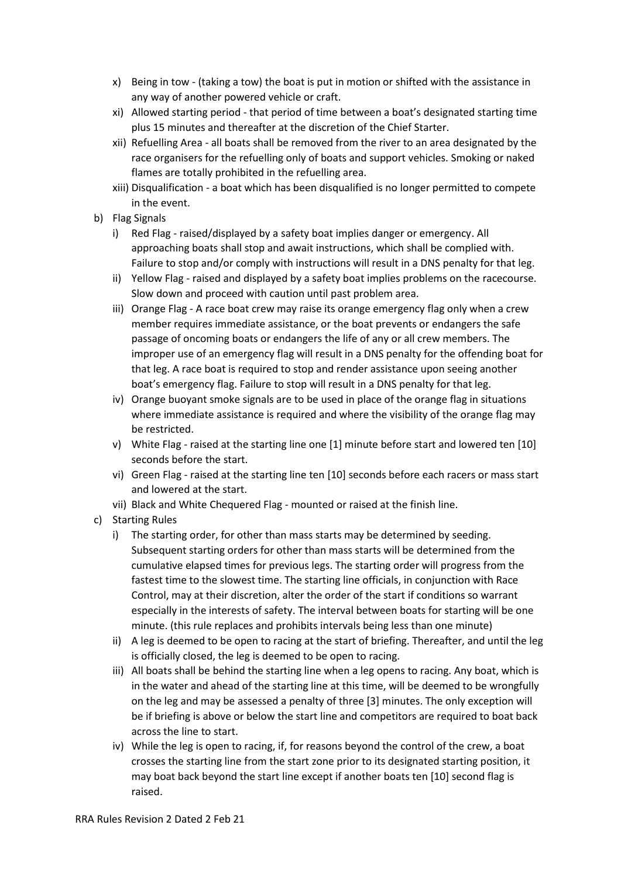- x) Being in tow (taking a tow) the boat is put in motion or shifted with the assistance in any way of another powered vehicle or craft.
- xi) Allowed starting period that period of time between a boat's designated starting time plus 15 minutes and thereafter at the discretion of the Chief Starter.
- xii) Refuelling Area all boats shall be removed from the river to an area designated by the race organisers for the refuelling only of boats and support vehicles. Smoking or naked flames are totally prohibited in the refuelling area.
- xiii) Disqualification a boat which has been disqualified is no longer permitted to compete in the event.
- b) Flag Signals
	- i) Red Flag raised/displayed by a safety boat implies danger or emergency. All approaching boats shall stop and await instructions, which shall be complied with. Failure to stop and/or comply with instructions will result in a DNS penalty for that leg.
	- ii) Yellow Flag raised and displayed by a safety boat implies problems on the racecourse. Slow down and proceed with caution until past problem area.
	- iii) Orange Flag A race boat crew may raise its orange emergency flag only when a crew member requires immediate assistance, or the boat prevents or endangers the safe passage of oncoming boats or endangers the life of any or all crew members. The improper use of an emergency flag will result in a DNS penalty for the offending boat for that leg. A race boat is required to stop and render assistance upon seeing another boat's emergency flag. Failure to stop will result in a DNS penalty for that leg.
	- iv) Orange buoyant smoke signals are to be used in place of the orange flag in situations where immediate assistance is required and where the visibility of the orange flag may be restricted.
	- v) White Flag raised at the starting line one [1] minute before start and lowered ten [10] seconds before the start.
	- vi) Green Flag raised at the starting line ten [10] seconds before each racers or mass start and lowered at the start.
	- vii) Black and White Chequered Flag mounted or raised at the finish line.
- c) Starting Rules
	- i) The starting order, for other than mass starts may be determined by seeding. Subsequent starting orders for other than mass starts will be determined from the cumulative elapsed times for previous legs. The starting order will progress from the fastest time to the slowest time. The starting line officials, in conjunction with Race Control, may at their discretion, alter the order of the start if conditions so warrant especially in the interests of safety. The interval between boats for starting will be one minute. (this rule replaces and prohibits intervals being less than one minute)
	- ii) A leg is deemed to be open to racing at the start of briefing. Thereafter, and until the leg is officially closed, the leg is deemed to be open to racing.
	- iii) All boats shall be behind the starting line when a leg opens to racing. Any boat, which is in the water and ahead of the starting line at this time, will be deemed to be wrongfully on the leg and may be assessed a penalty of three [3] minutes. The only exception will be if briefing is above or below the start line and competitors are required to boat back across the line to start.
	- iv) While the leg is open to racing, if, for reasons beyond the control of the crew, a boat crosses the starting line from the start zone prior to its designated starting position, it may boat back beyond the start line except if another boats ten [10] second flag is raised.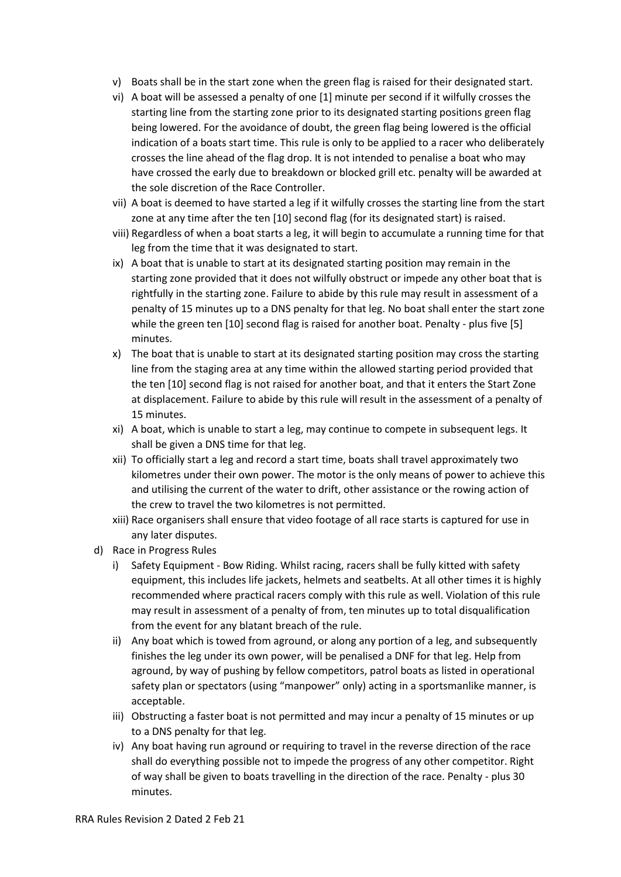- v) Boats shall be in the start zone when the green flag is raised for their designated start.
- vi) A boat will be assessed a penalty of one [1] minute per second if it wilfully crosses the starting line from the starting zone prior to its designated starting positions green flag being lowered. For the avoidance of doubt, the green flag being lowered is the official indication of a boats start time. This rule is only to be applied to a racer who deliberately crosses the line ahead of the flag drop. It is not intended to penalise a boat who may have crossed the early due to breakdown or blocked grill etc. penalty will be awarded at the sole discretion of the Race Controller.
- vii) A boat is deemed to have started a leg if it wilfully crosses the starting line from the start zone at any time after the ten [10] second flag (for its designated start) is raised.
- viii) Regardless of when a boat starts a leg, it will begin to accumulate a running time for that leg from the time that it was designated to start.
- ix) A boat that is unable to start at its designated starting position may remain in the starting zone provided that it does not wilfully obstruct or impede any other boat that is rightfully in the starting zone. Failure to abide by this rule may result in assessment of a penalty of 15 minutes up to a DNS penalty for that leg. No boat shall enter the start zone while the green ten [10] second flag is raised for another boat. Penalty - plus five [5] minutes.
- x) The boat that is unable to start at its designated starting position may cross the starting line from the staging area at any time within the allowed starting period provided that the ten [10] second flag is not raised for another boat, and that it enters the Start Zone at displacement. Failure to abide by this rule will result in the assessment of a penalty of 15 minutes.
- xi) A boat, which is unable to start a leg, may continue to compete in subsequent legs. It shall be given a DNS time for that leg.
- xii) To officially start a leg and record a start time, boats shall travel approximately two kilometres under their own power. The motor is the only means of power to achieve this and utilising the current of the water to drift, other assistance or the rowing action of the crew to travel the two kilometres is not permitted.
- xiii) Race organisers shall ensure that video footage of all race starts is captured for use in any later disputes.
- d) Race in Progress Rules
	- i) Safety Equipment Bow Riding. Whilst racing, racers shall be fully kitted with safety equipment, this includes life jackets, helmets and seatbelts. At all other times it is highly recommended where practical racers comply with this rule as well. Violation of this rule may result in assessment of a penalty of from, ten minutes up to total disqualification from the event for any blatant breach of the rule.
	- ii) Any boat which is towed from aground, or along any portion of a leg, and subsequently finishes the leg under its own power, will be penalised a DNF for that leg. Help from aground, by way of pushing by fellow competitors, patrol boats as listed in operational safety plan or spectators (using "manpower" only) acting in a sportsmanlike manner, is acceptable.
	- iii) Obstructing a faster boat is not permitted and may incur a penalty of 15 minutes or up to a DNS penalty for that leg.
	- iv) Any boat having run aground or requiring to travel in the reverse direction of the race shall do everything possible not to impede the progress of any other competitor. Right of way shall be given to boats travelling in the direction of the race. Penalty - plus 30 minutes.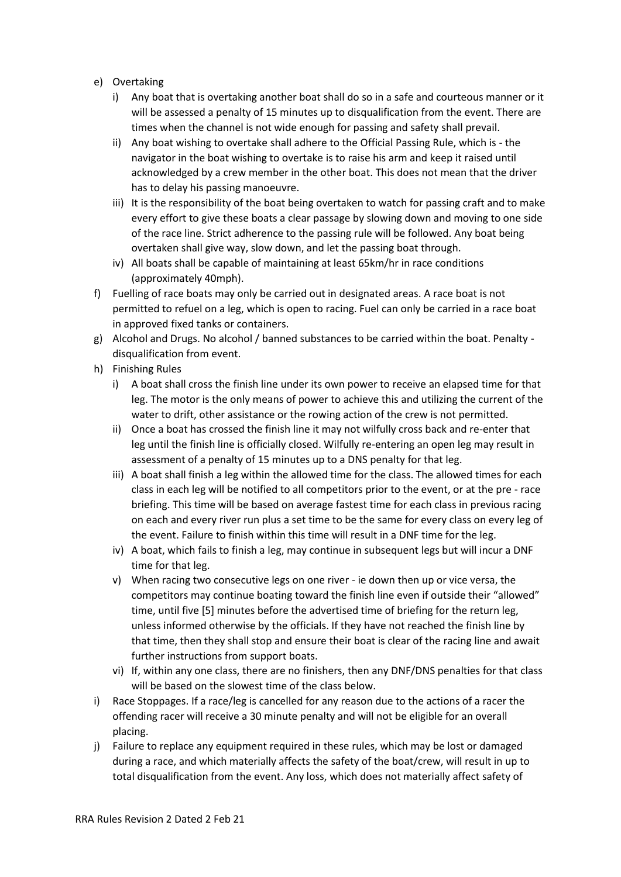- e) Overtaking
	- i) Any boat that is overtaking another boat shall do so in a safe and courteous manner or it will be assessed a penalty of 15 minutes up to disqualification from the event. There are times when the channel is not wide enough for passing and safety shall prevail.
	- ii) Any boat wishing to overtake shall adhere to the Official Passing Rule, which is the navigator in the boat wishing to overtake is to raise his arm and keep it raised until acknowledged by a crew member in the other boat. This does not mean that the driver has to delay his passing manoeuvre.
	- iii) It is the responsibility of the boat being overtaken to watch for passing craft and to make every effort to give these boats a clear passage by slowing down and moving to one side of the race line. Strict adherence to the passing rule will be followed. Any boat being overtaken shall give way, slow down, and let the passing boat through.
	- iv) All boats shall be capable of maintaining at least 65km/hr in race conditions (approximately 40mph).
- f) Fuelling of race boats may only be carried out in designated areas. A race boat is not permitted to refuel on a leg, which is open to racing. Fuel can only be carried in a race boat in approved fixed tanks or containers.
- g) Alcohol and Drugs. No alcohol / banned substances to be carried within the boat. Penalty disqualification from event.
- h) Finishing Rules
	- i) A boat shall cross the finish line under its own power to receive an elapsed time for that leg. The motor is the only means of power to achieve this and utilizing the current of the water to drift, other assistance or the rowing action of the crew is not permitted.
	- ii) Once a boat has crossed the finish line it may not wilfully cross back and re-enter that leg until the finish line is officially closed. Wilfully re-entering an open leg may result in assessment of a penalty of 15 minutes up to a DNS penalty for that leg.
	- iii) A boat shall finish a leg within the allowed time for the class. The allowed times for each class in each leg will be notified to all competitors prior to the event, or at the pre - race briefing. This time will be based on average fastest time for each class in previous racing on each and every river run plus a set time to be the same for every class on every leg of the event. Failure to finish within this time will result in a DNF time for the leg.
	- iv) A boat, which fails to finish a leg, may continue in subsequent legs but will incur a DNF time for that leg.
	- v) When racing two consecutive legs on one river ie down then up or vice versa, the competitors may continue boating toward the finish line even if outside their "allowed" time, until five [5] minutes before the advertised time of briefing for the return leg, unless informed otherwise by the officials. If they have not reached the finish line by that time, then they shall stop and ensure their boat is clear of the racing line and await further instructions from support boats.
	- vi) If, within any one class, there are no finishers, then any DNF/DNS penalties for that class will be based on the slowest time of the class below.
- i) Race Stoppages. If a race/leg is cancelled for any reason due to the actions of a racer the offending racer will receive a 30 minute penalty and will not be eligible for an overall placing.
- j) Failure to replace any equipment required in these rules, which may be lost or damaged during a race, and which materially affects the safety of the boat/crew, will result in up to total disqualification from the event. Any loss, which does not materially affect safety of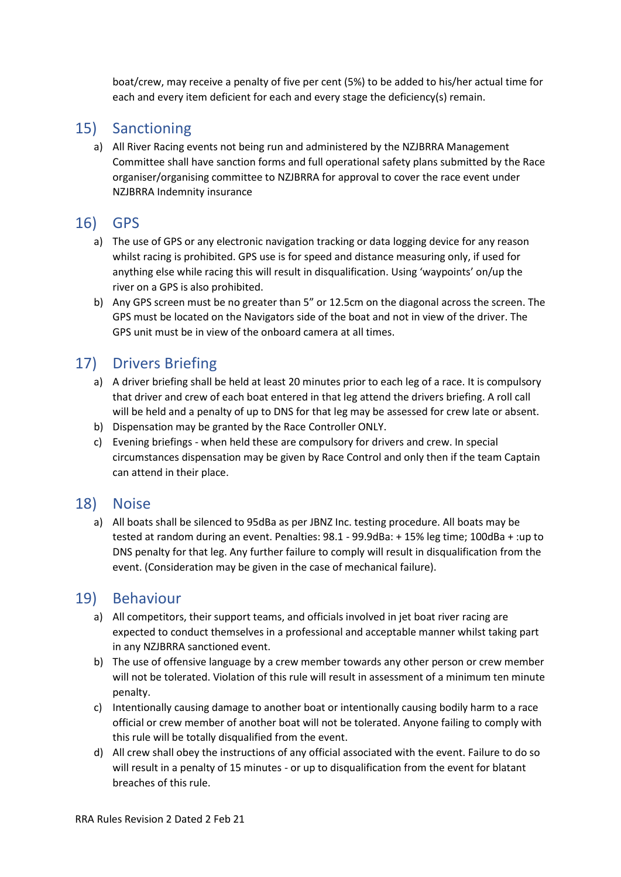boat/crew, may receive a penalty of five per cent (5%) to be added to his/her actual time for each and every item deficient for each and every stage the deficiency(s) remain.

### <span id="page-19-0"></span>15) Sanctioning

a) All River Racing events not being run and administered by the NZJBRRA Management Committee shall have sanction forms and full operational safety plans submitted by the Race organiser/organising committee to NZJBRRA for approval to cover the race event under NZJBRRA Indemnity insurance

### <span id="page-19-1"></span>16) GPS

- a) The use of GPS or any electronic navigation tracking or data logging device for any reason whilst racing is prohibited. GPS use is for speed and distance measuring only, if used for anything else while racing this will result in disqualification. Using 'waypoints' on/up the river on a GPS is also prohibited.
- b) Any GPS screen must be no greater than 5" or 12.5cm on the diagonal across the screen. The GPS must be located on the Navigators side of the boat and not in view of the driver. The GPS unit must be in view of the onboard camera at all times.

### <span id="page-19-2"></span>17) Drivers Briefing

- a) A driver briefing shall be held at least 20 minutes prior to each leg of a race. It is compulsory that driver and crew of each boat entered in that leg attend the drivers briefing. A roll call will be held and a penalty of up to DNS for that leg may be assessed for crew late or absent.
- b) Dispensation may be granted by the Race Controller ONLY.
- c) Evening briefings when held these are compulsory for drivers and crew. In special circumstances dispensation may be given by Race Control and only then if the team Captain can attend in their place.

### <span id="page-19-3"></span>18) Noise

a) All boats shall be silenced to 95dBa as per JBNZ Inc. testing procedure. All boats may be tested at random during an event. Penalties: 98.1 - 99.9dBa: + 15% leg time; 100dBa + :up to DNS penalty for that leg. Any further failure to comply will result in disqualification from the event. (Consideration may be given in the case of mechanical failure).

### <span id="page-19-4"></span>19) Behaviour

- a) All competitors, their support teams, and officials involved in jet boat river racing are expected to conduct themselves in a professional and acceptable manner whilst taking part in any NZJBRRA sanctioned event.
- b) The use of offensive language by a crew member towards any other person or crew member will not be tolerated. Violation of this rule will result in assessment of a minimum ten minute penalty.
- c) Intentionally causing damage to another boat or intentionally causing bodily harm to a race official or crew member of another boat will not be tolerated. Anyone failing to comply with this rule will be totally disqualified from the event.
- d) All crew shall obey the instructions of any official associated with the event. Failure to do so will result in a penalty of 15 minutes - or up to disqualification from the event for blatant breaches of this rule.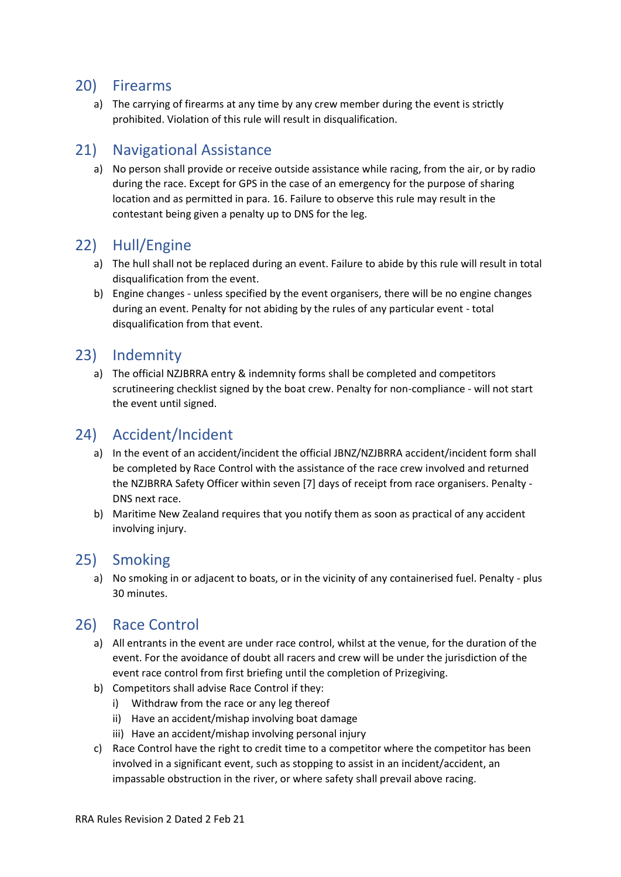#### <span id="page-20-0"></span>20) Firearms

a) The carrying of firearms at any time by any crew member during the event is strictly prohibited. Violation of this rule will result in disqualification.

### <span id="page-20-1"></span>21) Navigational Assistance

a) No person shall provide or receive outside assistance while racing, from the air, or by radio during the race. Except for GPS in the case of an emergency for the purpose of sharing location and as permitted in para. 16. Failure to observe this rule may result in the contestant being given a penalty up to DNS for the leg.

### <span id="page-20-2"></span>22) Hull/Engine

- a) The hull shall not be replaced during an event. Failure to abide by this rule will result in total disqualification from the event.
- b) Engine changes unless specified by the event organisers, there will be no engine changes during an event. Penalty for not abiding by the rules of any particular event - total disqualification from that event.

#### <span id="page-20-3"></span>23) Indemnity

a) The official NZJBRRA entry & indemnity forms shall be completed and competitors scrutineering checklist signed by the boat crew. Penalty for non-compliance - will not start the event until signed.

### <span id="page-20-4"></span>24) Accident/Incident

- a) In the event of an accident/incident the official JBNZ/NZJBRRA accident/incident form shall be completed by Race Control with the assistance of the race crew involved and returned the NZJBRRA Safety Officer within seven [7] days of receipt from race organisers. Penalty - DNS next race.
- b) Maritime New Zealand requires that you notify them as soon as practical of any accident involving injury.

#### <span id="page-20-5"></span>25) Smoking

a) No smoking in or adjacent to boats, or in the vicinity of any containerised fuel. Penalty - plus 30 minutes.

### <span id="page-20-6"></span>26) Race Control

- a) All entrants in the event are under race control, whilst at the venue, for the duration of the event. For the avoidance of doubt all racers and crew will be under the jurisdiction of the event race control from first briefing until the completion of Prizegiving.
- b) Competitors shall advise Race Control if they:
	- i) Withdraw from the race or any leg thereof
	- ii) Have an accident/mishap involving boat damage
	- iii) Have an accident/mishap involving personal injury
- c) Race Control have the right to credit time to a competitor where the competitor has been involved in a significant event, such as stopping to assist in an incident/accident, an impassable obstruction in the river, or where safety shall prevail above racing.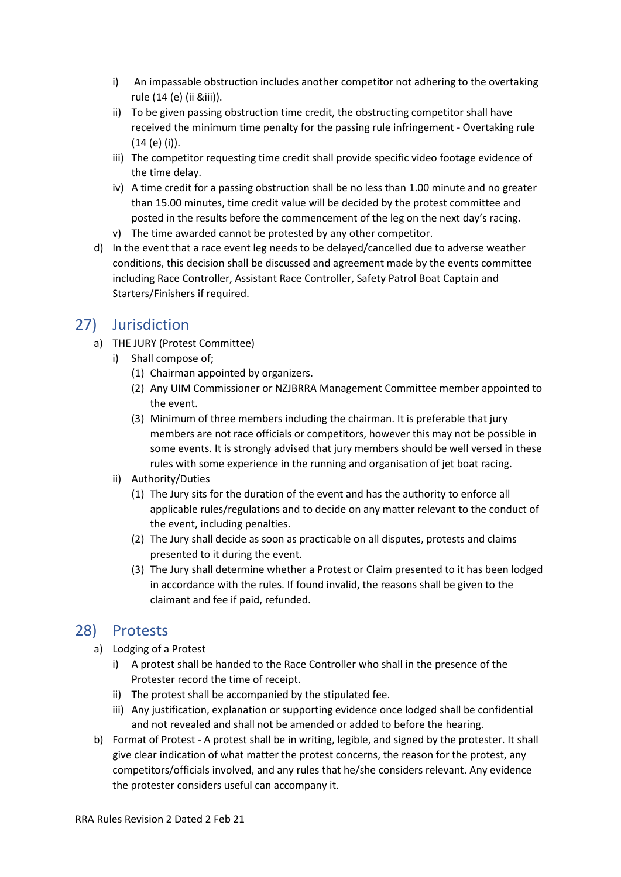- i) An impassable obstruction includes another competitor not adhering to the overtaking rule (14 (e) (ii &iii)).
- ii) To be given passing obstruction time credit, the obstructing competitor shall have received the minimum time penalty for the passing rule infringement - Overtaking rule (14 (e) (i)).
- iii) The competitor requesting time credit shall provide specific video footage evidence of the time delay.
- iv) A time credit for a passing obstruction shall be no less than 1.00 minute and no greater than 15.00 minutes, time credit value will be decided by the protest committee and posted in the results before the commencement of the leg on the next day's racing.
- v) The time awarded cannot be protested by any other competitor.
- d) In the event that a race event leg needs to be delayed/cancelled due to adverse weather conditions, this decision shall be discussed and agreement made by the events committee including Race Controller, Assistant Race Controller, Safety Patrol Boat Captain and Starters/Finishers if required.

### <span id="page-21-0"></span>27) Jurisdiction

- a) THE JURY (Protest Committee)
	- i) Shall compose of;
		- (1) Chairman appointed by organizers.
		- (2) Any UIM Commissioner or NZJBRRA Management Committee member appointed to the event.
		- (3) Minimum of three members including the chairman. It is preferable that jury members are not race officials or competitors, however this may not be possible in some events. It is strongly advised that jury members should be well versed in these rules with some experience in the running and organisation of jet boat racing.
	- ii) Authority/Duties
		- (1) The Jury sits for the duration of the event and has the authority to enforce all applicable rules/regulations and to decide on any matter relevant to the conduct of the event, including penalties.
		- (2) The Jury shall decide as soon as practicable on all disputes, protests and claims presented to it during the event.
		- (3) The Jury shall determine whether a Protest or Claim presented to it has been lodged in accordance with the rules. If found invalid, the reasons shall be given to the claimant and fee if paid, refunded.

### <span id="page-21-1"></span>28) Protests

- a) Lodging of a Protest
	- i) A protest shall be handed to the Race Controller who shall in the presence of the Protester record the time of receipt.
	- ii) The protest shall be accompanied by the stipulated fee.
	- iii) Any justification, explanation or supporting evidence once lodged shall be confidential and not revealed and shall not be amended or added to before the hearing.
- b) Format of Protest A protest shall be in writing, legible, and signed by the protester. It shall give clear indication of what matter the protest concerns, the reason for the protest, any competitors/officials involved, and any rules that he/she considers relevant. Any evidence the protester considers useful can accompany it.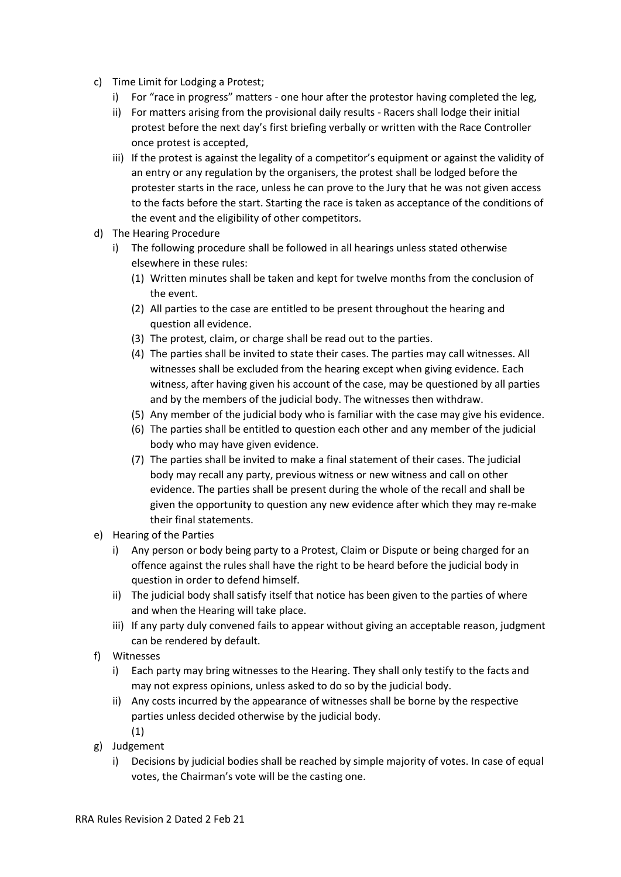- c) Time Limit for Lodging a Protest;
	- i) For "race in progress" matters one hour after the protestor having completed the leg,
	- ii) For matters arising from the provisional daily results Racers shall lodge their initial protest before the next day's first briefing verbally or written with the Race Controller once protest is accepted,
	- iii) If the protest is against the legality of a competitor's equipment or against the validity of an entry or any regulation by the organisers, the protest shall be lodged before the protester starts in the race, unless he can prove to the Jury that he was not given access to the facts before the start. Starting the race is taken as acceptance of the conditions of the event and the eligibility of other competitors.
- d) The Hearing Procedure
	- i) The following procedure shall be followed in all hearings unless stated otherwise elsewhere in these rules:
		- (1) Written minutes shall be taken and kept for twelve months from the conclusion of the event.
		- (2) All parties to the case are entitled to be present throughout the hearing and question all evidence.
		- (3) The protest, claim, or charge shall be read out to the parties.
		- (4) The parties shall be invited to state their cases. The parties may call witnesses. All witnesses shall be excluded from the hearing except when giving evidence. Each witness, after having given his account of the case, may be questioned by all parties and by the members of the judicial body. The witnesses then withdraw.
		- (5) Any member of the judicial body who is familiar with the case may give his evidence.
		- (6) The parties shall be entitled to question each other and any member of the judicial body who may have given evidence.
		- (7) The parties shall be invited to make a final statement of their cases. The judicial body may recall any party, previous witness or new witness and call on other evidence. The parties shall be present during the whole of the recall and shall be given the opportunity to question any new evidence after which they may re-make their final statements.
- e) Hearing of the Parties
	- i) Any person or body being party to a Protest, Claim or Dispute or being charged for an offence against the rules shall have the right to be heard before the judicial body in question in order to defend himself.
	- ii) The judicial body shall satisfy itself that notice has been given to the parties of where and when the Hearing will take place.
	- iii) If any party duly convened fails to appear without giving an acceptable reason, judgment can be rendered by default.
- f) Witnesses
	- i) Each party may bring witnesses to the Hearing. They shall only testify to the facts and may not express opinions, unless asked to do so by the judicial body.
	- ii) Any costs incurred by the appearance of witnesses shall be borne by the respective parties unless decided otherwise by the judicial body. (1)
- g) Judgement
	- i) Decisions by judicial bodies shall be reached by simple majority of votes. In case of equal votes, the Chairman's vote will be the casting one.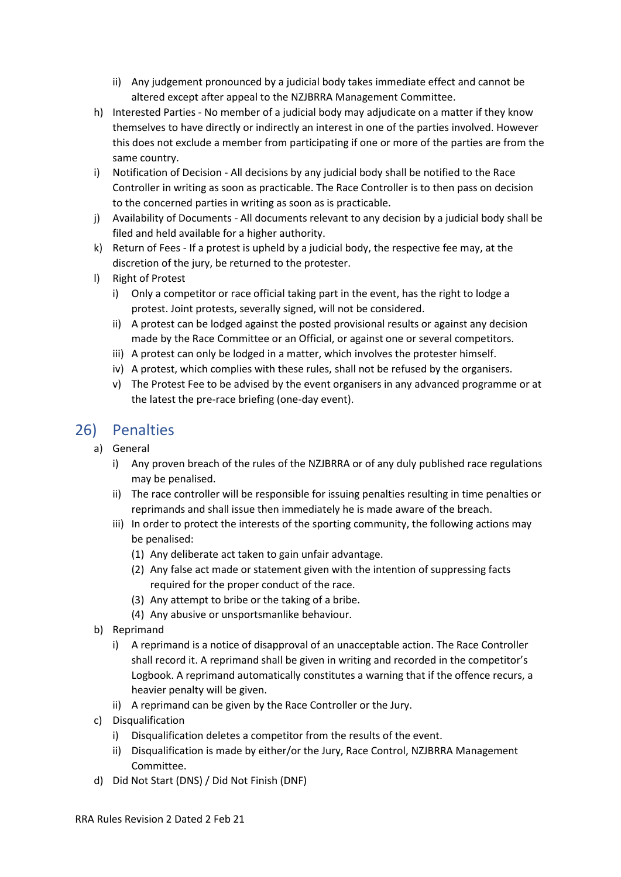- ii) Any judgement pronounced by a judicial body takes immediate effect and cannot be altered except after appeal to the NZJBRRA Management Committee.
- h) Interested Parties No member of a judicial body may adjudicate on a matter if they know themselves to have directly or indirectly an interest in one of the parties involved. However this does not exclude a member from participating if one or more of the parties are from the same country.
- i) Notification of Decision All decisions by any judicial body shall be notified to the Race Controller in writing as soon as practicable. The Race Controller is to then pass on decision to the concerned parties in writing as soon as is practicable.
- j) Availability of Documents All documents relevant to any decision by a judicial body shall be filed and held available for a higher authority.
- k) Return of Fees If a protest is upheld by a judicial body, the respective fee may, at the discretion of the jury, be returned to the protester.
- l) Right of Protest
	- i) Only a competitor or race official taking part in the event, has the right to lodge a protest. Joint protests, severally signed, will not be considered.
	- ii) A protest can be lodged against the posted provisional results or against any decision made by the Race Committee or an Official, or against one or several competitors.
	- iii) A protest can only be lodged in a matter, which involves the protester himself.
	- iv) A protest, which complies with these rules, shall not be refused by the organisers.
	- v) The Protest Fee to be advised by the event organisers in any advanced programme or at the latest the pre-race briefing (one-day event).

### <span id="page-23-0"></span>26) Penalties

- a) General
	- i) Any proven breach of the rules of the NZJBRRA or of any duly published race regulations may be penalised.
	- ii) The race controller will be responsible for issuing penalties resulting in time penalties or reprimands and shall issue then immediately he is made aware of the breach.
	- iii) In order to protect the interests of the sporting community, the following actions may be penalised:
		- (1) Any deliberate act taken to gain unfair advantage.
		- (2) Any false act made or statement given with the intention of suppressing facts required for the proper conduct of the race.
		- (3) Any attempt to bribe or the taking of a bribe.
		- (4) Any abusive or unsportsmanlike behaviour.
- b) Reprimand
	- i) A reprimand is a notice of disapproval of an unacceptable action. The Race Controller shall record it. A reprimand shall be given in writing and recorded in the competitor's Logbook. A reprimand automatically constitutes a warning that if the offence recurs, a heavier penalty will be given.
	- ii) A reprimand can be given by the Race Controller or the Jury.
- c) Disqualification
	- i) Disqualification deletes a competitor from the results of the event.
	- ii) Disqualification is made by either/or the Jury, Race Control, NZJBRRA Management Committee.
- d) Did Not Start (DNS) / Did Not Finish (DNF)